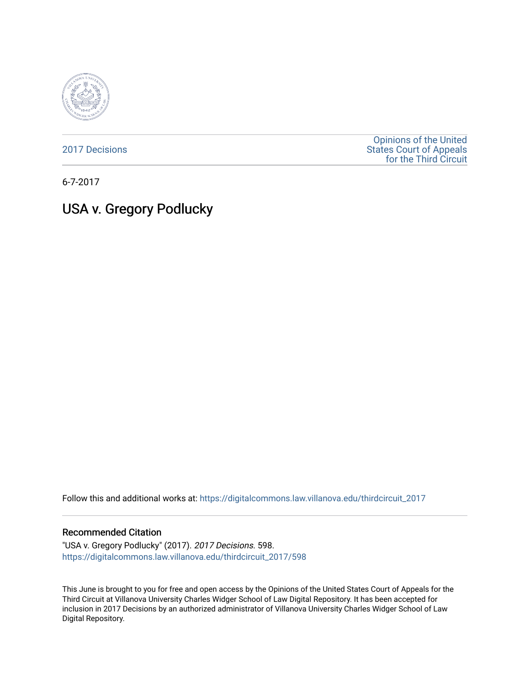

[2017 Decisions](https://digitalcommons.law.villanova.edu/thirdcircuit_2017)

[Opinions of the United](https://digitalcommons.law.villanova.edu/thirdcircuit)  [States Court of Appeals](https://digitalcommons.law.villanova.edu/thirdcircuit)  [for the Third Circuit](https://digitalcommons.law.villanova.edu/thirdcircuit) 

6-7-2017

## USA v. Gregory Podlucky

Follow this and additional works at: [https://digitalcommons.law.villanova.edu/thirdcircuit\\_2017](https://digitalcommons.law.villanova.edu/thirdcircuit_2017?utm_source=digitalcommons.law.villanova.edu%2Fthirdcircuit_2017%2F598&utm_medium=PDF&utm_campaign=PDFCoverPages) 

## Recommended Citation

"USA v. Gregory Podlucky" (2017). 2017 Decisions. 598. [https://digitalcommons.law.villanova.edu/thirdcircuit\\_2017/598](https://digitalcommons.law.villanova.edu/thirdcircuit_2017/598?utm_source=digitalcommons.law.villanova.edu%2Fthirdcircuit_2017%2F598&utm_medium=PDF&utm_campaign=PDFCoverPages)

This June is brought to you for free and open access by the Opinions of the United States Court of Appeals for the Third Circuit at Villanova University Charles Widger School of Law Digital Repository. It has been accepted for inclusion in 2017 Decisions by an authorized administrator of Villanova University Charles Widger School of Law Digital Repository.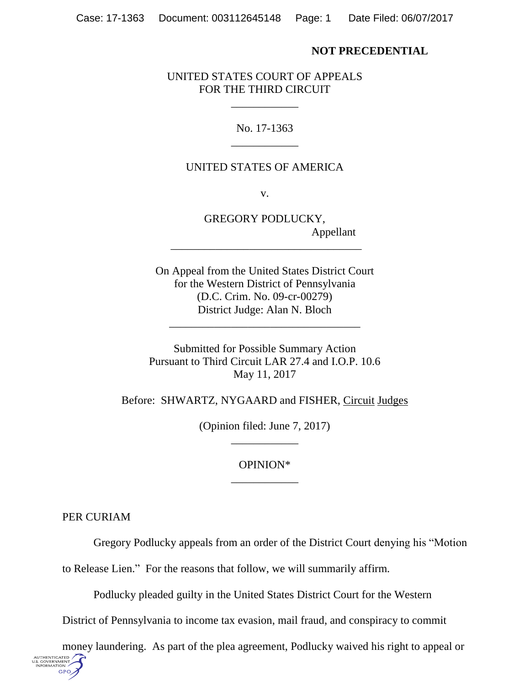## **NOT PRECEDENTIAL**

UNITED STATES COURT OF APPEALS FOR THE THIRD CIRCUIT

> No. 17-1363 \_\_\_\_\_\_\_\_\_\_\_\_

> \_\_\_\_\_\_\_\_\_\_\_\_

## UNITED STATES OF AMERICA

v.

GREGORY PODLUCKY, Appellant

On Appeal from the United States District Court for the Western District of Pennsylvania (D.C. Crim. No. 09-cr-00279) District Judge: Alan N. Bloch

\_\_\_\_\_\_\_\_\_\_\_\_\_\_\_\_\_\_\_\_\_\_\_\_\_\_\_\_\_\_\_\_\_\_

\_\_\_\_\_\_\_\_\_\_\_\_\_\_\_\_\_\_\_\_\_\_\_\_\_\_\_\_\_\_\_\_\_\_

Submitted for Possible Summary Action Pursuant to Third Circuit LAR 27.4 and I.O.P. 10.6 May 11, 2017

Before: SHWARTZ, NYGAARD and FISHER, Circuit Judges

(Opinion filed: June 7, 2017) \_\_\_\_\_\_\_\_\_\_\_\_

> OPINION\* \_\_\_\_\_\_\_\_\_\_\_\_

PER CURIAM

U.S. GOVERNMEN<br>INFORMATION **GPO**  Gregory Podlucky appeals from an order of the District Court denying his "Motion

to Release Lien." For the reasons that follow, we will summarily affirm.

Podlucky pleaded guilty in the United States District Court for the Western

District of Pennsylvania to income tax evasion, mail fraud, and conspiracy to commit

money laundering. As part of the plea agreement, Podlucky waived his right to appeal or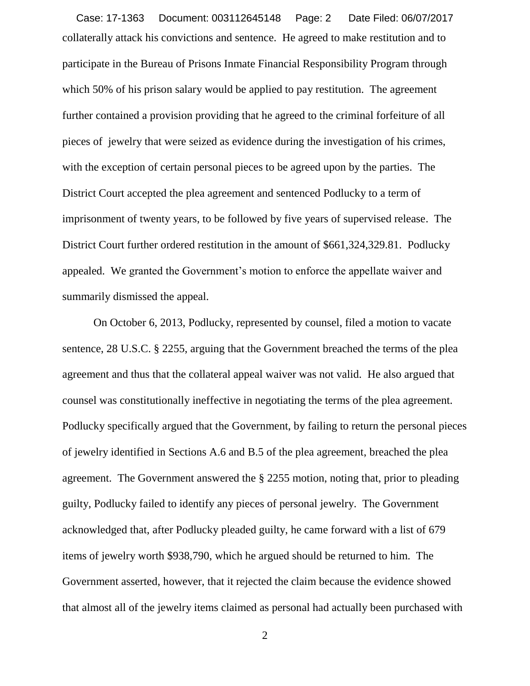collaterally attack his convictions and sentence. He agreed to make restitution and to participate in the Bureau of Prisons Inmate Financial Responsibility Program through which 50% of his prison salary would be applied to pay restitution. The agreement further contained a provision providing that he agreed to the criminal forfeiture of all pieces of jewelry that were seized as evidence during the investigation of his crimes, with the exception of certain personal pieces to be agreed upon by the parties. The District Court accepted the plea agreement and sentenced Podlucky to a term of imprisonment of twenty years, to be followed by five years of supervised release. The District Court further ordered restitution in the amount of \$661,324,329.81. Podlucky appealed. We granted the Government's motion to enforce the appellate waiver and summarily dismissed the appeal. Case: 17-1363 Document: 003112645148 Page: 2 Date Filed: 06/07/2017

On October 6, 2013, Podlucky, represented by counsel, filed a motion to vacate sentence, 28 U.S.C. § 2255, arguing that the Government breached the terms of the plea agreement and thus that the collateral appeal waiver was not valid. He also argued that counsel was constitutionally ineffective in negotiating the terms of the plea agreement. Podlucky specifically argued that the Government, by failing to return the personal pieces of jewelry identified in Sections A.6 and B.5 of the plea agreement, breached the plea agreement. The Government answered the § 2255 motion, noting that, prior to pleading guilty, Podlucky failed to identify any pieces of personal jewelry. The Government acknowledged that, after Podlucky pleaded guilty, he came forward with a list of 679 items of jewelry worth \$938,790, which he argued should be returned to him. The Government asserted, however, that it rejected the claim because the evidence showed that almost all of the jewelry items claimed as personal had actually been purchased with

2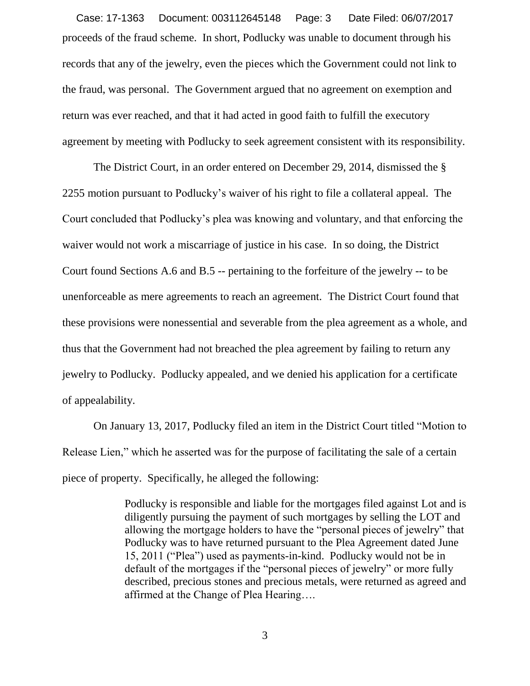proceeds of the fraud scheme. In short, Podlucky was unable to document through his records that any of the jewelry, even the pieces which the Government could not link to the fraud, was personal. The Government argued that no agreement on exemption and return was ever reached, and that it had acted in good faith to fulfill the executory agreement by meeting with Podlucky to seek agreement consistent with its responsibility. Case: 17-1363 Document: 003112645148 Page: 3 Date Filed: 06/07/2017

The District Court, in an order entered on December 29, 2014, dismissed the § 2255 motion pursuant to Podlucky's waiver of his right to file a collateral appeal. The Court concluded that Podlucky's plea was knowing and voluntary, and that enforcing the waiver would not work a miscarriage of justice in his case. In so doing, the District Court found Sections A.6 and B.5 -- pertaining to the forfeiture of the jewelry -- to be unenforceable as mere agreements to reach an agreement. The District Court found that these provisions were nonessential and severable from the plea agreement as a whole, and thus that the Government had not breached the plea agreement by failing to return any jewelry to Podlucky. Podlucky appealed, and we denied his application for a certificate of appealability.

On January 13, 2017, Podlucky filed an item in the District Court titled "Motion to Release Lien," which he asserted was for the purpose of facilitating the sale of a certain piece of property. Specifically, he alleged the following:

> Podlucky is responsible and liable for the mortgages filed against Lot and is diligently pursuing the payment of such mortgages by selling the LOT and allowing the mortgage holders to have the "personal pieces of jewelry" that Podlucky was to have returned pursuant to the Plea Agreement dated June 15, 2011 ("Plea") used as payments-in-kind. Podlucky would not be in default of the mortgages if the "personal pieces of jewelry" or more fully described, precious stones and precious metals, were returned as agreed and affirmed at the Change of Plea Hearing….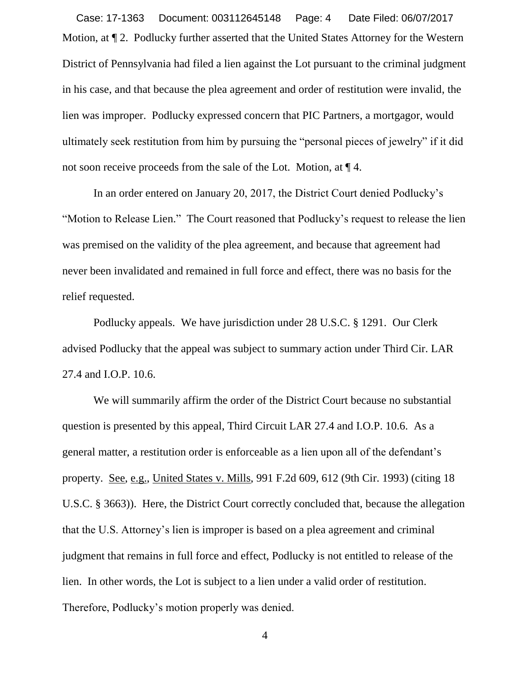Motion, at ¶ 2. Podlucky further asserted that the United States Attorney for the Western District of Pennsylvania had filed a lien against the Lot pursuant to the criminal judgment in his case, and that because the plea agreement and order of restitution were invalid, the lien was improper. Podlucky expressed concern that PIC Partners, a mortgagor, would ultimately seek restitution from him by pursuing the "personal pieces of jewelry" if it did not soon receive proceeds from the sale of the Lot. Motion, at ¶ 4. Case: 17-1363 Document: 003112645148 Page: 4 Date Filed: 06/07/2017

In an order entered on January 20, 2017, the District Court denied Podlucky's "Motion to Release Lien." The Court reasoned that Podlucky's request to release the lien was premised on the validity of the plea agreement, and because that agreement had never been invalidated and remained in full force and effect, there was no basis for the relief requested.

Podlucky appeals. We have jurisdiction under 28 U.S.C. § 1291. Our Clerk advised Podlucky that the appeal was subject to summary action under Third Cir. LAR 27.4 and I.O.P. 10.6.

We will summarily affirm the order of the District Court because no substantial question is presented by this appeal, Third Circuit LAR 27.4 and I.O.P. 10.6. As a general matter, a restitution order is enforceable as a lien upon all of the defendant's property. See, e.g., United States v. Mills, 991 F.2d 609, 612 (9th Cir. 1993) (citing 18 U.S.C. § 3663)). Here, the District Court correctly concluded that, because the allegation that the U.S. Attorney's lien is improper is based on a plea agreement and criminal judgment that remains in full force and effect, Podlucky is not entitled to release of the lien. In other words, the Lot is subject to a lien under a valid order of restitution. Therefore, Podlucky's motion properly was denied.

4